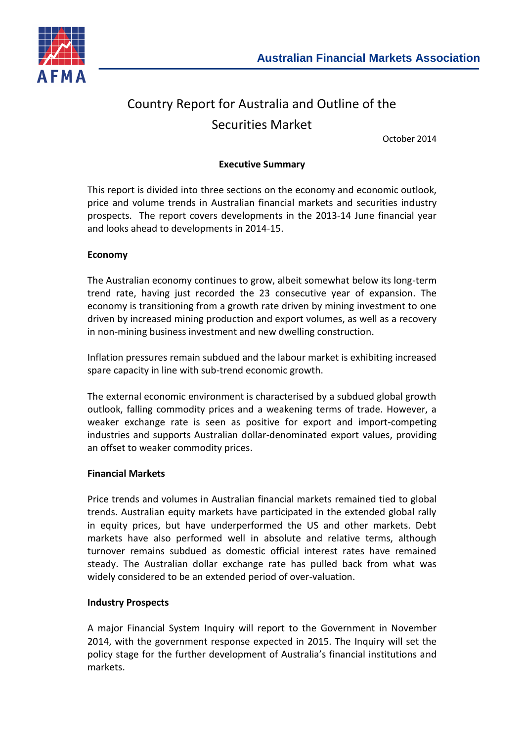

# Country Report for Australia and Outline of the Securities Market

October 2014

# **Executive Summary**

This report is divided into three sections on the economy and economic outlook, price and volume trends in Australian financial markets and securities industry prospects. The report covers developments in the 2013-14 June financial year and looks ahead to developments in 2014-15.

### **Economy**

The Australian economy continues to grow, albeit somewhat below its long-term trend rate, having just recorded the 23 consecutive year of expansion. The economy is transitioning from a growth rate driven by mining investment to one driven by increased mining production and export volumes, as well as a recovery in non-mining business investment and new dwelling construction.

Inflation pressures remain subdued and the labour market is exhibiting increased spare capacity in line with sub-trend economic growth.

The external economic environment is characterised by a subdued global growth outlook, falling commodity prices and a weakening terms of trade. However, a weaker exchange rate is seen as positive for export and import-competing industries and supports Australian dollar-denominated export values, providing an offset to weaker commodity prices.

#### **Financial Markets**

Price trends and volumes in Australian financial markets remained tied to global trends. Australian equity markets have participated in the extended global rally in equity prices, but have underperformed the US and other markets. Debt markets have also performed well in absolute and relative terms, although turnover remains subdued as domestic official interest rates have remained steady. The Australian dollar exchange rate has pulled back from what was widely considered to be an extended period of over-valuation.

#### **Industry Prospects**

A major Financial System Inquiry will report to the Government in November 2014, with the government response expected in 2015. The Inquiry will set the policy stage for the further development of Australia's financial institutions and markets.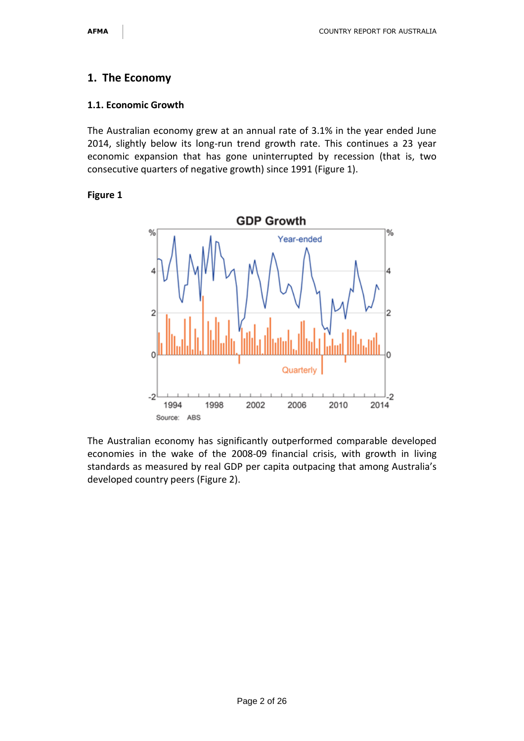# **1. The Economy**

#### **1.1. Economic Growth**

The Australian economy grew at an annual rate of 3.1% in the year ended June 2014, slightly below its long-run trend growth rate. This continues a 23 year economic expansion that has gone uninterrupted by recession (that is, two consecutive quarters of negative growth) since 1991 (Figure 1).

#### **Figure 1**



The Australian economy has significantly outperformed comparable developed economies in the wake of the 2008-09 financial crisis, with growth in living standards as measured by real GDP per capita outpacing that among Australia's developed country peers (Figure 2).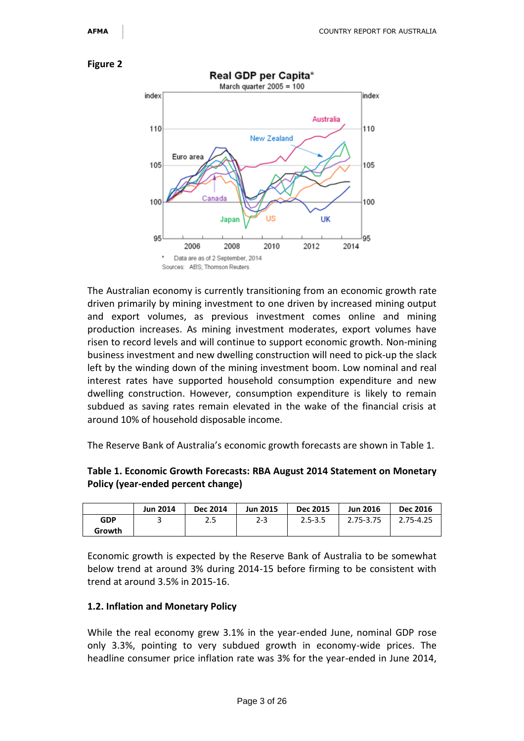

The Australian economy is currently transitioning from an economic growth rate driven primarily by mining investment to one driven by increased mining output and export volumes, as previous investment comes online and mining production increases. As mining investment moderates, export volumes have risen to record levels and will continue to support economic growth. Non-mining business investment and new dwelling construction will need to pick-up the slack left by the winding down of the mining investment boom. Low nominal and real interest rates have supported household consumption expenditure and new dwelling construction. However, consumption expenditure is likely to remain subdued as saving rates remain elevated in the wake of the financial crisis at around 10% of household disposable income.

The Reserve Bank of Australia's economic growth forecasts are shown in Table 1.

### **Table 1. Economic Growth Forecasts: RBA August 2014 Statement on Monetary Policy (year-ended percent change)**

|        | <b>Jun 2014</b> | <b>Dec 2014</b> | <b>Jun 2015</b> | Dec 2015    | <b>Jun 2016</b> | <b>Dec 2016</b> |
|--------|-----------------|-----------------|-----------------|-------------|-----------------|-----------------|
| GDP    |                 | つに<br>2.J       | $2 - 3$         | $2.5 - 3.5$ | 2.75-3.75       | 2.75-4.25       |
| Growth |                 |                 |                 |             |                 |                 |

Economic growth is expected by the Reserve Bank of Australia to be somewhat below trend at around 3% during 2014-15 before firming to be consistent with trend at around 3.5% in 2015-16.

#### **1.2. Inflation and Monetary Policy**

While the real economy grew 3.1% in the year-ended June, nominal GDP rose only 3.3%, pointing to very subdued growth in economy-wide prices. The headline consumer price inflation rate was 3% for the year-ended in June 2014,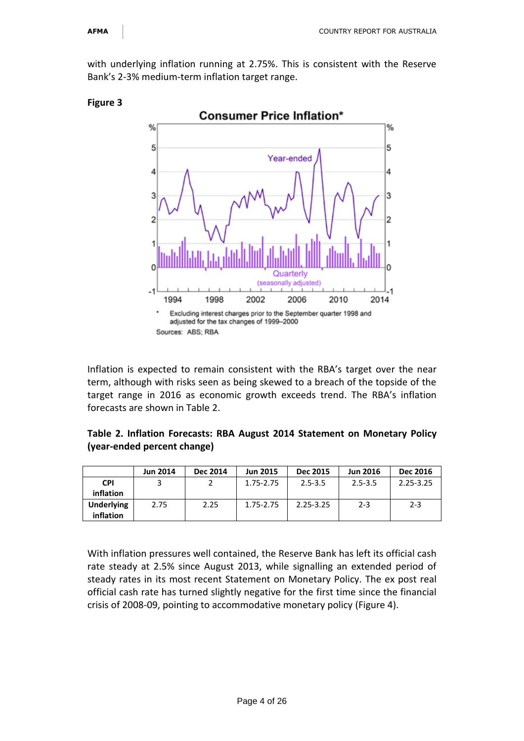with underlying inflation running at 2.75%. This is consistent with the Reserve Bank's 2-3% medium-term inflation target range.



#### **Figure 3**

Inflation is expected to remain consistent with the RBA's target over the near term, although with risks seen as being skewed to a breach of the topside of the target range in 2016 as economic growth exceeds trend. The RBA's inflation forecasts are shown in Table 2.

# **Table 2. Inflation Forecasts: RBA August 2014 Statement on Monetary Policy (year-ended percent change)**

|                   | <b>Jun 2014</b> | <b>Dec 2014</b> | <b>Jun 2015</b> | Dec 2015      | <b>Jun 2016</b> | <b>Dec 2016</b> |
|-------------------|-----------------|-----------------|-----------------|---------------|-----------------|-----------------|
| <b>CPI</b>        |                 |                 | 1.75-2.75       | $2.5 - 3.5$   | $2.5 - 3.5$     | $2.25 - 3.25$   |
| inflation         |                 |                 |                 |               |                 |                 |
| <b>Underlying</b> | 2.75            | 2.25            | 1.75-2.75       | $2.25 - 3.25$ | $2 - 3$         | $2 - 3$         |
| inflation         |                 |                 |                 |               |                 |                 |

With inflation pressures well contained, the Reserve Bank has left its official cash rate steady at 2.5% since August 2013, while signalling an extended period of steady rates in its most recent Statement on Monetary Policy. The ex post real official cash rate has turned slightly negative for the first time since the financial crisis of 2008-09, pointing to accommodative monetary policy (Figure 4).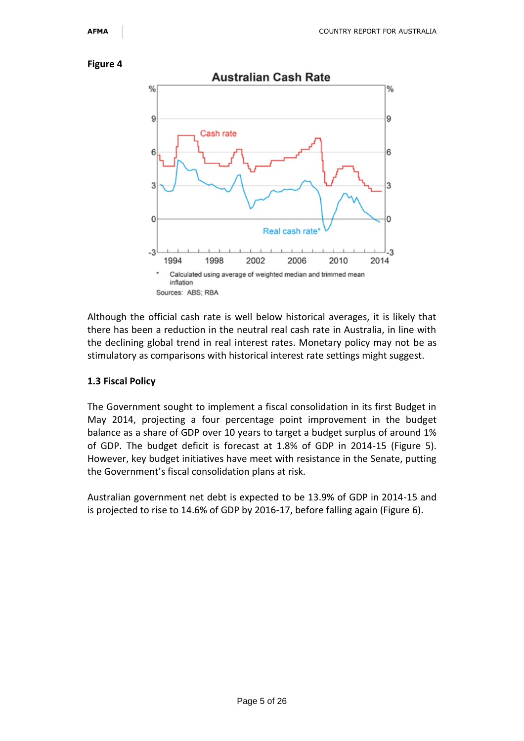

Although the official cash rate is well below historical averages, it is likely that there has been a reduction in the neutral real cash rate in Australia, in line with the declining global trend in real interest rates. Monetary policy may not be as stimulatory as comparisons with historical interest rate settings might suggest.

#### **1.3 Fiscal Policy**

The Government sought to implement a fiscal consolidation in its first Budget in May 2014, projecting a four percentage point improvement in the budget balance as a share of GDP over 10 years to target a budget surplus of around 1% of GDP. The budget deficit is forecast at 1.8% of GDP in 2014-15 (Figure 5). However, key budget initiatives have meet with resistance in the Senate, putting the Government's fiscal consolidation plans at risk.

Australian government net debt is expected to be 13.9% of GDP in 2014-15 and is projected to rise to 14.6% of GDP by 2016-17, before falling again (Figure 6).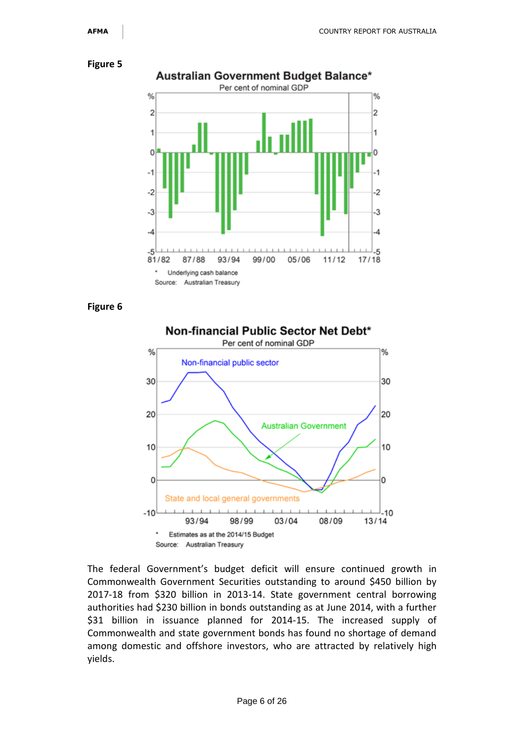

**Figure 6**



The federal Government's budget deficit will ensure continued growth in Commonwealth Government Securities outstanding to around \$450 billion by 2017-18 from \$320 billion in 2013-14. State government central borrowing authorities had \$230 billion in bonds outstanding as at June 2014, with a further \$31 billion in issuance planned for 2014-15. The increased supply of Commonwealth and state government bonds has found no shortage of demand among domestic and offshore investors, who are attracted by relatively high yields.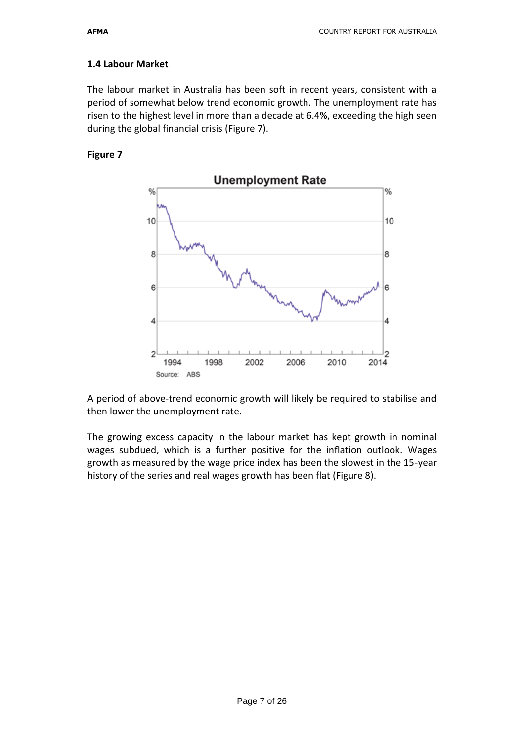# **1.4 Labour Market**

The labour market in Australia has been soft in recent years, consistent with a period of somewhat below trend economic growth. The unemployment rate has risen to the highest level in more than a decade at 6.4%, exceeding the high seen during the global financial crisis (Figure 7).

# **Figure 7**



A period of above-trend economic growth will likely be required to stabilise and then lower the unemployment rate.

The growing excess capacity in the labour market has kept growth in nominal wages subdued, which is a further positive for the inflation outlook. Wages growth as measured by the wage price index has been the slowest in the 15-year history of the series and real wages growth has been flat (Figure 8).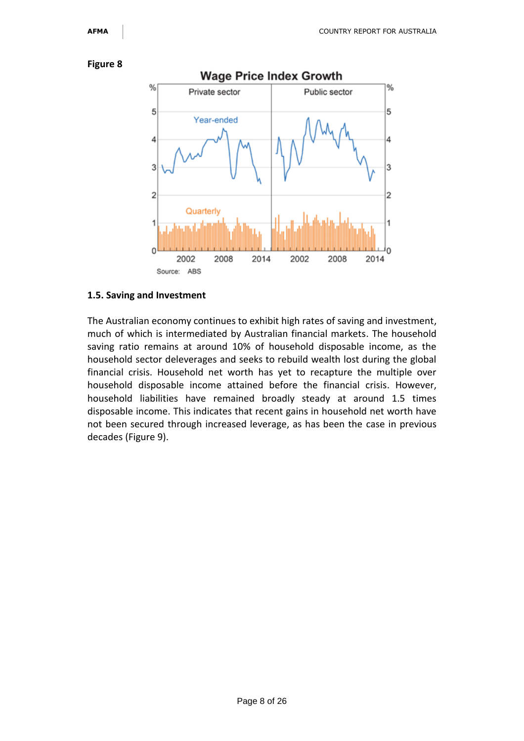



#### **1.5. Saving and Investment**

The Australian economy continues to exhibit high rates of saving and investment, much of which is intermediated by Australian financial markets. The household saving ratio remains at around 10% of household disposable income, as the household sector deleverages and seeks to rebuild wealth lost during the global financial crisis. Household net worth has yet to recapture the multiple over household disposable income attained before the financial crisis. However, household liabilities have remained broadly steady at around 1.5 times disposable income. This indicates that recent gains in household net worth have not been secured through increased leverage, as has been the case in previous decades (Figure 9).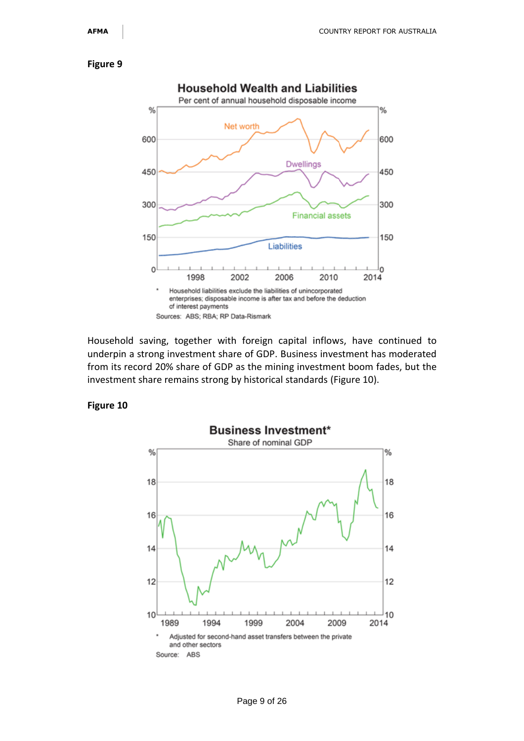

Household saving, together with foreign capital inflows, have continued to underpin a strong investment share of GDP. Business investment has moderated from its record 20% share of GDP as the mining investment boom fades, but the investment share remains strong by historical standards (Figure 10).

#### **Figure 10**

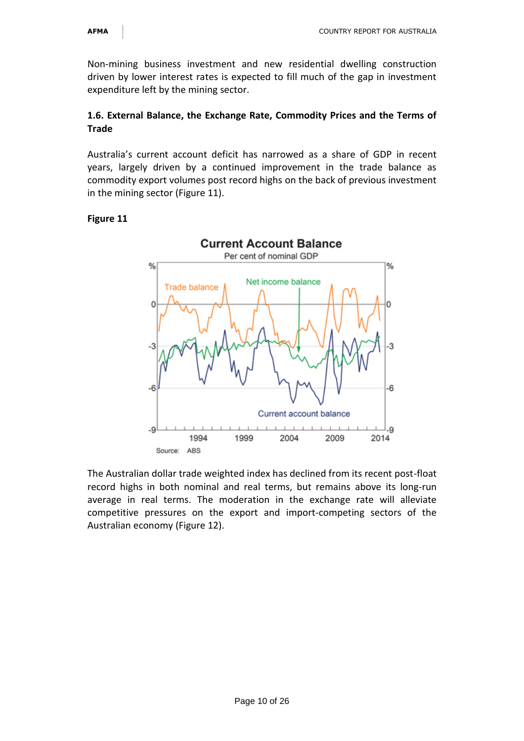Non-mining business investment and new residential dwelling construction driven by lower interest rates is expected to fill much of the gap in investment expenditure left by the mining sector.

# **1.6. External Balance, the Exchange Rate, Commodity Prices and the Terms of Trade**

Australia's current account deficit has narrowed as a share of GDP in recent years, largely driven by a continued improvement in the trade balance as commodity export volumes post record highs on the back of previous investment in the mining sector (Figure 11).

# **Figure 11**



The Australian dollar trade weighted index has declined from its recent post-float record highs in both nominal and real terms, but remains above its long-run average in real terms. The moderation in the exchange rate will alleviate competitive pressures on the export and import-competing sectors of the Australian economy (Figure 12).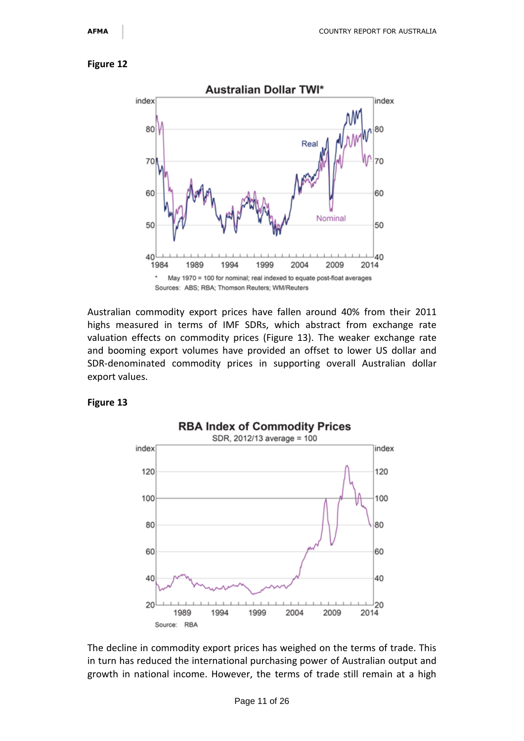

Australian commodity export prices have fallen around 40% from their 2011 highs measured in terms of IMF SDRs, which abstract from exchange rate valuation effects on commodity prices (Figure 13). The weaker exchange rate and booming export volumes have provided an offset to lower US dollar and SDR-denominated commodity prices in supporting overall Australian dollar export values.

#### **Figure 13**



The decline in commodity export prices has weighed on the terms of trade. This in turn has reduced the international purchasing power of Australian output and growth in national income. However, the terms of trade still remain at a high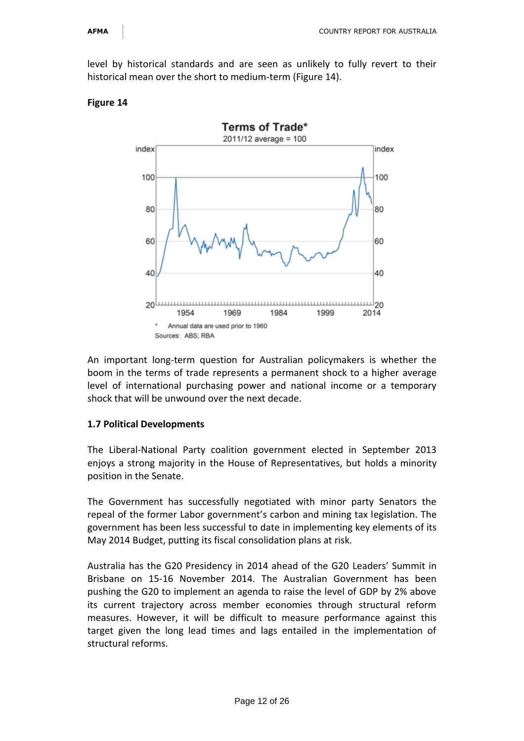level by historical standards and are seen as unlikely to fully revert to their historical mean over the short to medium-term (Figure 14).



#### **Figure 14**

An important long-term question for Australian policymakers is whether the boom in the terms of trade represents a permanent shock to a higher average level of international purchasing power and national income or a temporary shock that will be unwound over the next decade.

#### **1.7 Political Developments**

The Liberal-National Party coalition government elected in September 2013 enjoys a strong majority in the House of Representatives, but holds a minority position in the Senate.

The Government has successfully negotiated with minor party Senators the repeal of the former Labor government's carbon and mining tax legislation. The government has been less successful to date in implementing key elements of its May 2014 Budget, putting its fiscal consolidation plans at risk.

Australia has the G20 Presidency in 2014 ahead of the G20 Leaders' Summit in Brisbane on 15-16 November 2014. The Australian Government has been pushing the G20 to implement an agenda to raise the level of GDP by 2% above its current trajectory across member economies through structural reform measures. However, it will be difficult to measure performance against this target given the long lead times and lags entailed in the implementation of structural reforms.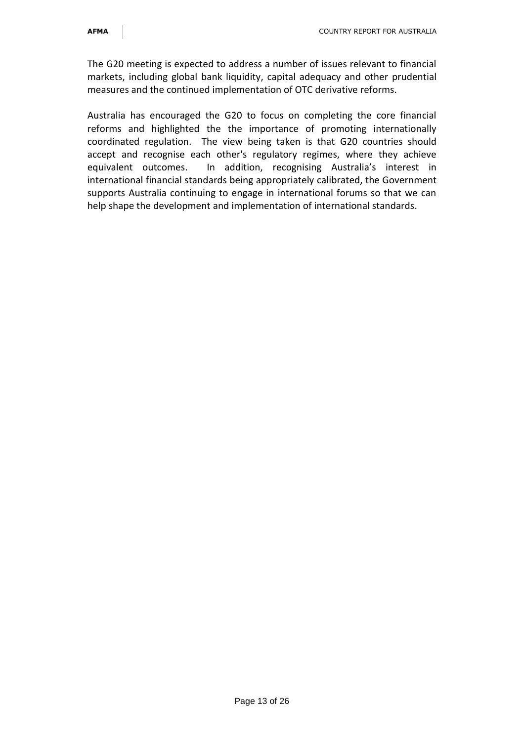The G20 meeting is expected to address a number of issues relevant to financial markets, including global bank liquidity, capital adequacy and other prudential measures and the continued implementation of OTC derivative reforms.

Australia has encouraged the G20 to focus on completing the core financial reforms and highlighted the the importance of promoting internationally coordinated regulation. The view being taken is that G20 countries should accept and recognise each other's regulatory regimes, where they achieve equivalent outcomes. In addition, recognising Australia's interest in international financial standards being appropriately calibrated, the Government supports Australia continuing to engage in international forums so that we can help shape the development and implementation of international standards.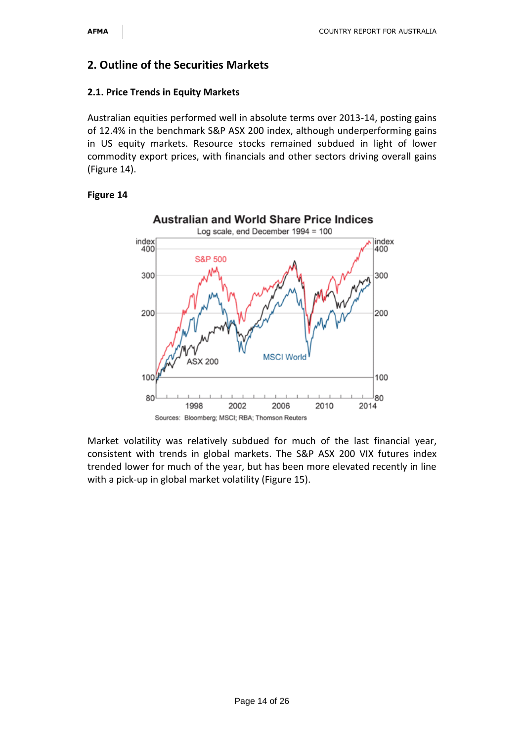# **2. Outline of the Securities Markets**

#### **2.1. Price Trends in Equity Markets**

Australian equities performed well in absolute terms over 2013-14, posting gains of 12.4% in the benchmark S&P ASX 200 index, although underperforming gains in US equity markets. Resource stocks remained subdued in light of lower commodity export prices, with financials and other sectors driving overall gains (Figure 14).

#### **Figure 14**



Market volatility was relatively subdued for much of the last financial year, consistent with trends in global markets. The S&P ASX 200 VIX futures index trended lower for much of the year, but has been more elevated recently in line with a pick-up in global market volatility (Figure 15).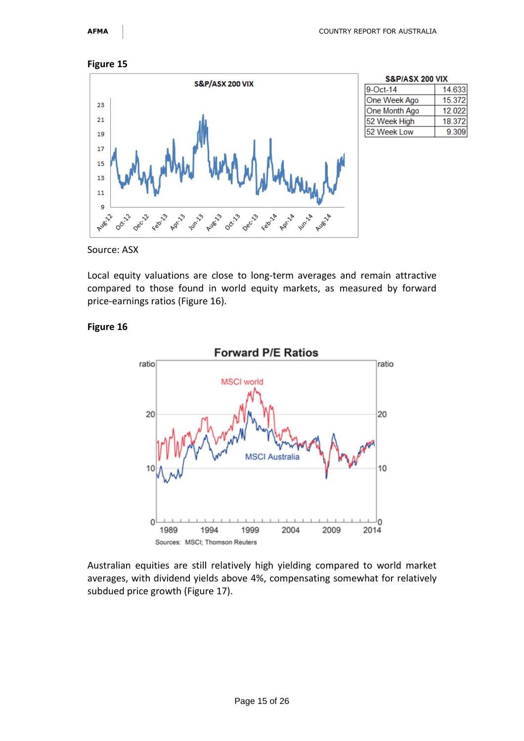

| <b>S&amp;P/ASX 200 VIX</b> |        |  |  |  |  |
|----------------------------|--------|--|--|--|--|
| 9-Oct-14                   | 14.633 |  |  |  |  |
| One Week Ago               | 15.372 |  |  |  |  |
| One Month Ago              | 12.022 |  |  |  |  |
| 52 Week High               | 18.372 |  |  |  |  |
| 52 Week Low                | 9.309  |  |  |  |  |

Source: ASX

Local equity valuations are close to long-term averages and remain attractive compared to those found in world equity markets, as measured by forward price-earnings ratios (Figure 16).

#### **Figure 16**



Australian equities are still relatively high yielding compared to world market averages, with dividend yields above 4%, compensating somewhat for relatively subdued price growth (Figure 17).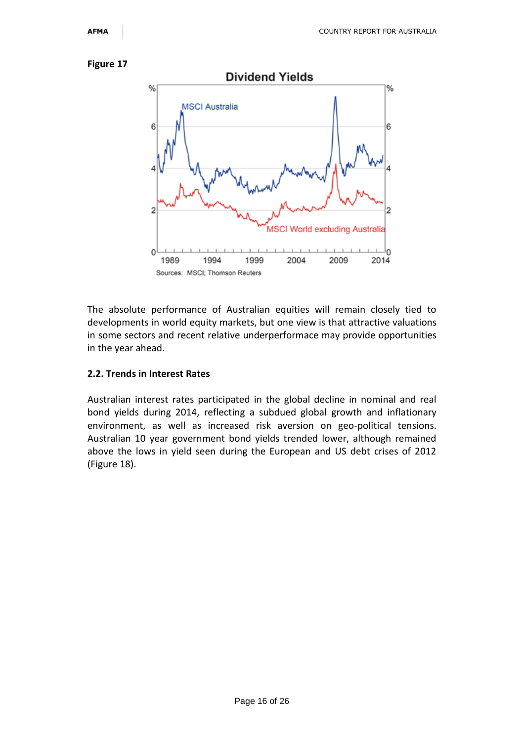



The absolute performance of Australian equities will remain closely tied to developments in world equity markets, but one view is that attractive valuations in some sectors and recent relative underperformace may provide opportunities in the year ahead.

#### **2.2. Trends in Interest Rates**

Australian interest rates participated in the global decline in nominal and real bond yields during 2014, reflecting a subdued global growth and inflationary environment, as well as increased risk aversion on geo-political tensions. Australian 10 year government bond yields trended lower, although remained above the lows in yield seen during the European and US debt crises of 2012 (Figure 18).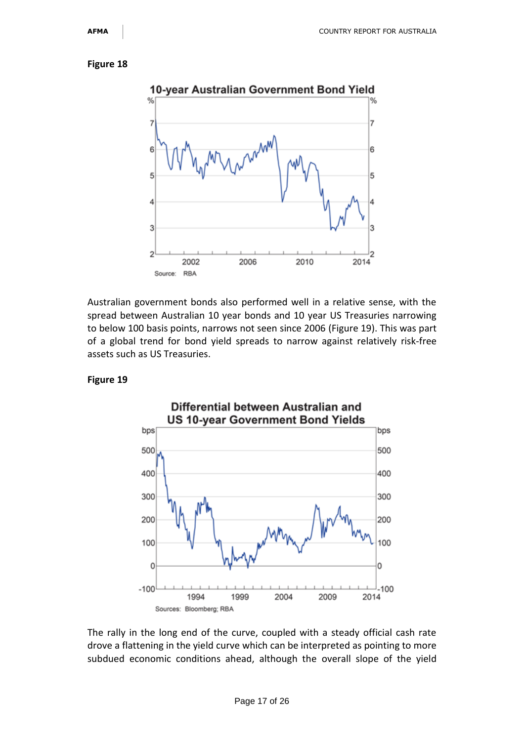

Australian government bonds also performed well in a relative sense, with the spread between Australian 10 year bonds and 10 year US Treasuries narrowing to below 100 basis points, narrows not seen since 2006 (Figure 19). This was part of a global trend for bond yield spreads to narrow against relatively risk-free assets such as US Treasuries.

#### **Figure 19**



The rally in the long end of the curve, coupled with a steady official cash rate drove a flattening in the yield curve which can be interpreted as pointing to more subdued economic conditions ahead, although the overall slope of the yield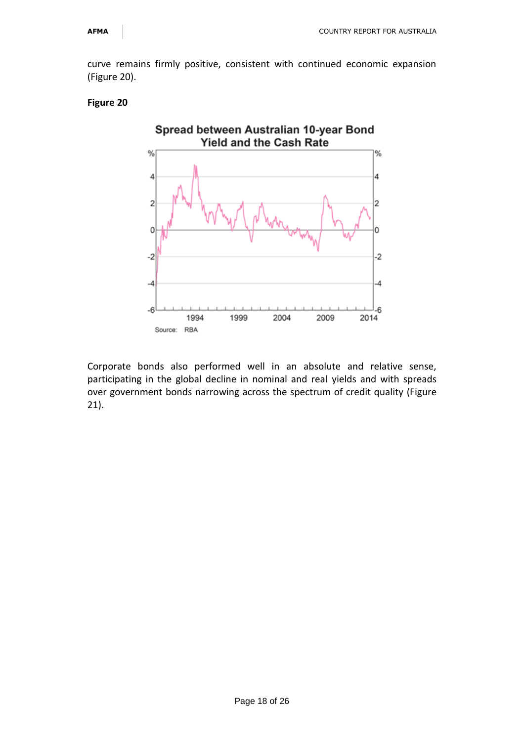curve remains firmly positive, consistent with continued economic expansion (Figure 20).

#### **Figure 20**



Corporate bonds also performed well in an absolute and relative sense, participating in the global decline in nominal and real yields and with spreads over government bonds narrowing across the spectrum of credit quality (Figure 21).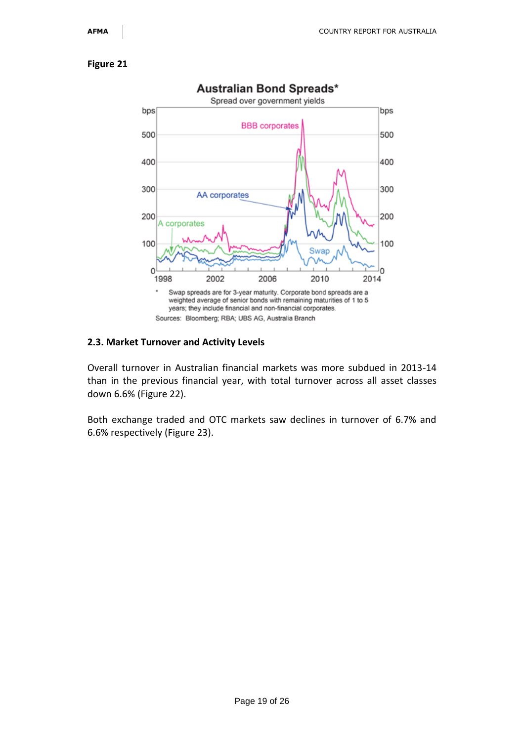

#### **2.3. Market Turnover and Activity Levels**

Overall turnover in Australian financial markets was more subdued in 2013-14 than in the previous financial year, with total turnover across all asset classes down 6.6% (Figure 22).

Both exchange traded and OTC markets saw declines in turnover of 6.7% and 6.6% respectively (Figure 23).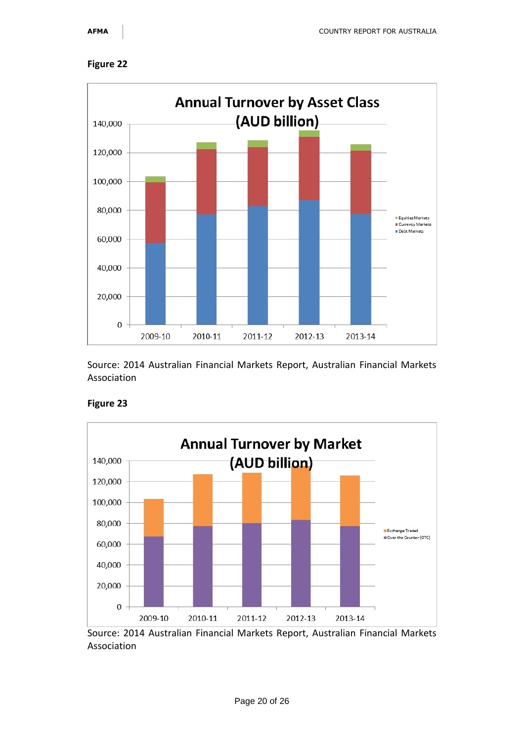



Source: 2014 Australian Financial Markets Report, Australian Financial Markets Association



#### **Figure 23**

Source: 2014 Australian Financial Markets Report, Australian Financial Markets Association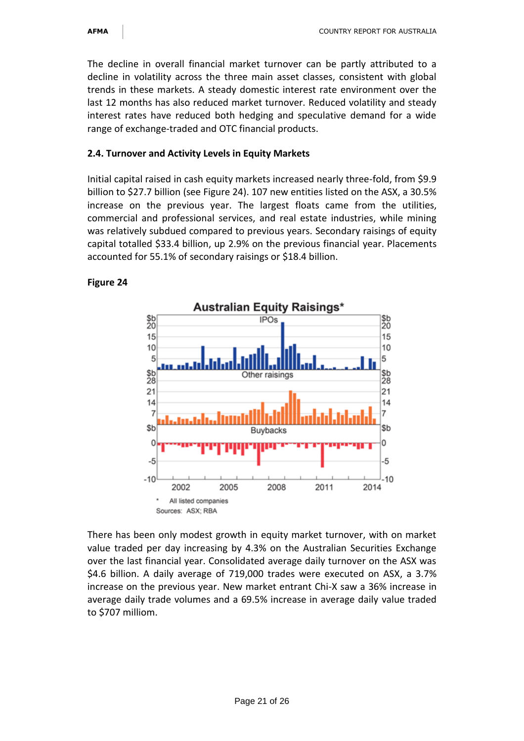The decline in overall financial market turnover can be partly attributed to a decline in volatility across the three main asset classes, consistent with global trends in these markets. A steady domestic interest rate environment over the last 12 months has also reduced market turnover. Reduced volatility and steady interest rates have reduced both hedging and speculative demand for a wide range of exchange-traded and OTC financial products.

# **2.4. Turnover and Activity Levels in Equity Markets**

Initial capital raised in cash equity markets increased nearly three-fold, from \$9.9 billion to \$27.7 billion (see Figure 24). 107 new entities listed on the ASX, a 30.5% increase on the previous year. The largest floats came from the utilities, commercial and professional services, and real estate industries, while mining was relatively subdued compared to previous years. Secondary raisings of equity capital totalled \$33.4 billion, up 2.9% on the previous financial year. Placements accounted for 55.1% of secondary raisings or \$18.4 billion.

#### **Figure 24**



There has been only modest growth in equity market turnover, with on market value traded per day increasing by 4.3% on the Australian Securities Exchange over the last financial year. Consolidated average daily turnover on the ASX was \$4.6 billion. A daily average of 719,000 trades were executed on ASX, a 3.7% increase on the previous year. New market entrant Chi-X saw a 36% increase in average daily trade volumes and a 69.5% increase in average daily value traded to \$707 milliom.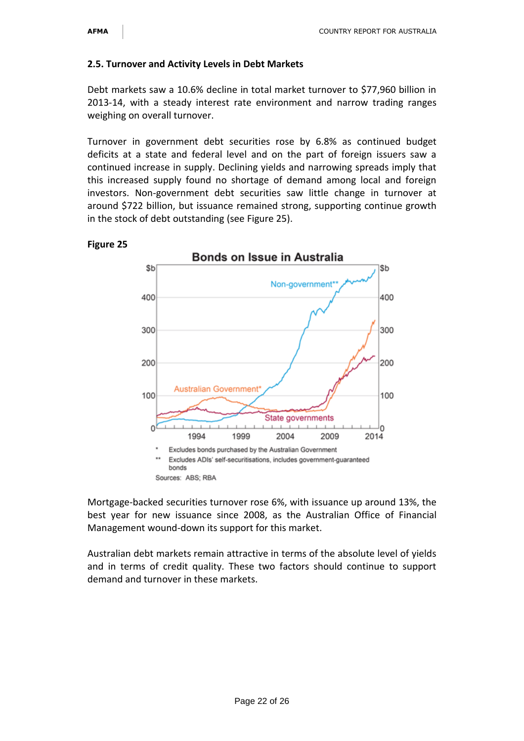# **2.5. Turnover and Activity Levels in Debt Markets**

Debt markets saw a 10.6% decline in total market turnover to \$77,960 billion in 2013-14, with a steady interest rate environment and narrow trading ranges weighing on overall turnover.

Turnover in government debt securities rose by 6.8% as continued budget deficits at a state and federal level and on the part of foreign issuers saw a continued increase in supply. Declining yields and narrowing spreads imply that this increased supply found no shortage of demand among local and foreign investors. Non-government debt securities saw little change in turnover at around \$722 billion, but issuance remained strong, supporting continue growth in the stock of debt outstanding (see Figure 25).



#### **Figure 25**

Mortgage-backed securities turnover rose 6%, with issuance up around 13%, the best year for new issuance since 2008, as the Australian Office of Financial Management wound-down its support for this market.

Australian debt markets remain attractive in terms of the absolute level of yields and in terms of credit quality. These two factors should continue to support demand and turnover in these markets.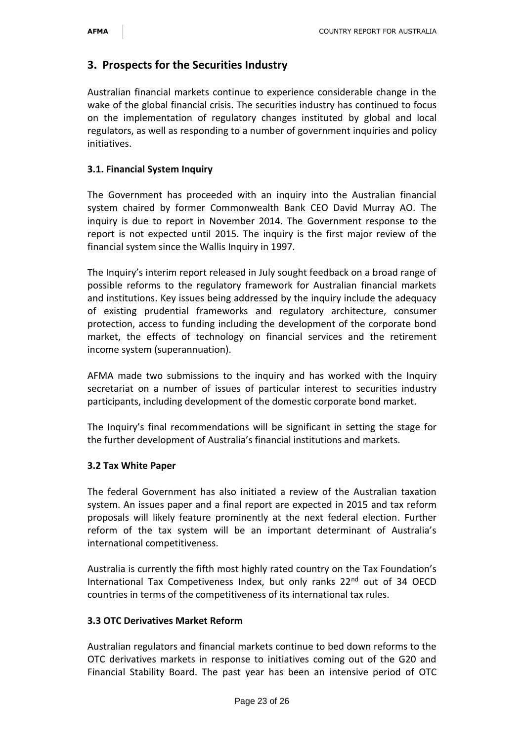# **3. Prospects for the Securities Industry**

Australian financial markets continue to experience considerable change in the wake of the global financial crisis. The securities industry has continued to focus on the implementation of regulatory changes instituted by global and local regulators, as well as responding to a number of government inquiries and policy initiatives.

### **3.1. Financial System Inquiry**

The Government has proceeded with an inquiry into the Australian financial system chaired by former Commonwealth Bank CEO David Murray AO. The inquiry is due to report in November 2014. The Government response to the report is not expected until 2015. The inquiry is the first major review of the financial system since the Wallis Inquiry in 1997.

The Inquiry's interim report released in July sought feedback on a broad range of possible reforms to the regulatory framework for Australian financial markets and institutions. Key issues being addressed by the inquiry include the adequacy of existing prudential frameworks and regulatory architecture, consumer protection, access to funding including the development of the corporate bond market, the effects of technology on financial services and the retirement income system (superannuation).

AFMA made two submissions to the inquiry and has worked with the Inquiry secretariat on a number of issues of particular interest to securities industry participants, including development of the domestic corporate bond market.

The Inquiry's final recommendations will be significant in setting the stage for the further development of Australia's financial institutions and markets.

#### **3.2 Tax White Paper**

The federal Government has also initiated a review of the Australian taxation system. An issues paper and a final report are expected in 2015 and tax reform proposals will likely feature prominently at the next federal election. Further reform of the tax system will be an important determinant of Australia's international competitiveness.

Australia is currently the fifth most highly rated country on the Tax Foundation's International Tax Competiveness Index, but only ranks 22<sup>nd</sup> out of 34 OECD countries in terms of the competitiveness of its international tax rules.

#### **3.3 OTC Derivatives Market Reform**

Australian regulators and financial markets continue to bed down reforms to the OTC derivatives markets in response to initiatives coming out of the G20 and Financial Stability Board. The past year has been an intensive period of OTC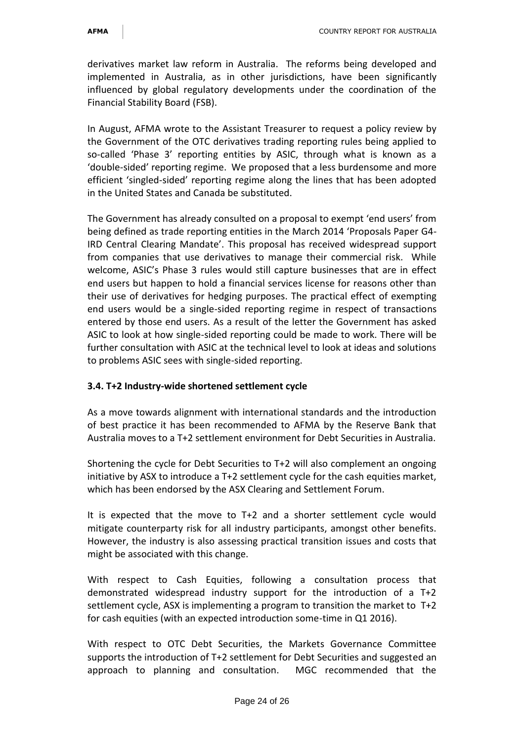derivatives market law reform in Australia. The reforms being developed and implemented in Australia, as in other jurisdictions, have been significantly influenced by global regulatory developments under the coordination of the Financial Stability Board (FSB).

In August, AFMA wrote to the Assistant Treasurer to request a policy review by the Government of the OTC derivatives trading reporting rules being applied to so-called 'Phase 3' reporting entities by ASIC, through what is known as a 'double-sided' reporting regime. We proposed that a less burdensome and more efficient 'singled-sided' reporting regime along the lines that has been adopted in the United States and Canada be substituted.

The Government has already consulted on a proposal to exempt 'end users' from being defined as trade reporting entities in the March 2014 'Proposals Paper G4- IRD Central Clearing Mandate'. This proposal has received widespread support from companies that use derivatives to manage their commercial risk. While welcome, ASIC's Phase 3 rules would still capture businesses that are in effect end users but happen to hold a financial services license for reasons other than their use of derivatives for hedging purposes. The practical effect of exempting end users would be a single-sided reporting regime in respect of transactions entered by those end users. As a result of the letter the Government has asked ASIC to look at how single-sided reporting could be made to work. There will be further consultation with ASIC at the technical level to look at ideas and solutions to problems ASIC sees with single-sided reporting.

# **3.4. T+2 Industry-wide shortened settlement cycle**

As a move towards alignment with international standards and the introduction of best practice it has been recommended to AFMA by the Reserve Bank that Australia moves to a T+2 settlement environment for Debt Securities in Australia.

Shortening the cycle for Debt Securities to T+2 will also complement an ongoing initiative by ASX to introduce a T+2 settlement cycle for the cash equities market, which has been endorsed by the ASX Clearing and Settlement Forum.

It is expected that the move to T+2 and a shorter settlement cycle would mitigate counterparty risk for all industry participants, amongst other benefits. However, the industry is also assessing practical transition issues and costs that might be associated with this change.

With respect to Cash Equities, following a consultation process that demonstrated widespread industry support for the introduction of a T+2 settlement cycle, ASX is implementing a program to transition the market to T+2 for cash equities (with an expected introduction some-time in Q1 2016).

With respect to OTC Debt Securities, the Markets Governance Committee supports the introduction of T+2 settlement for Debt Securities and suggested an approach to planning and consultation. MGC recommended that the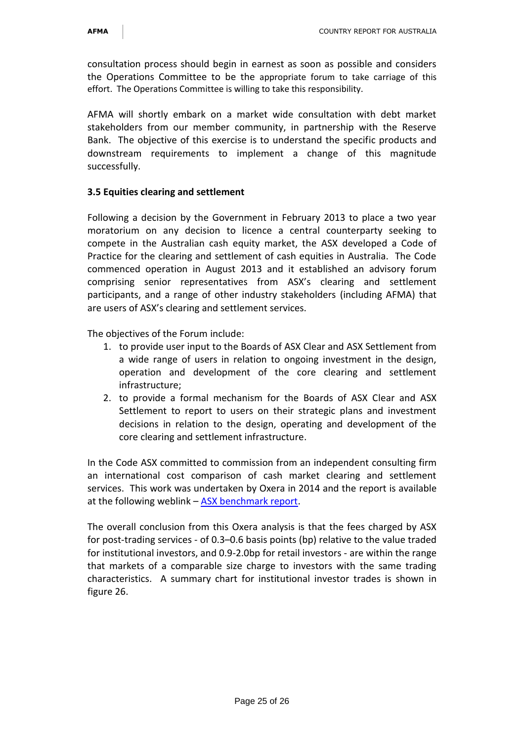consultation process should begin in earnest as soon as possible and considers the Operations Committee to be the appropriate forum to take carriage of this effort. The Operations Committee is willing to take this responsibility.

AFMA will shortly embark on a market wide consultation with debt market stakeholders from our member community, in partnership with the Reserve Bank. The objective of this exercise is to understand the specific products and downstream requirements to implement a change of this magnitude successfully.

### **3.5 Equities clearing and settlement**

Following a decision by the Government in February 2013 to place a two year moratorium on any decision to licence a central counterparty seeking to compete in the Australian cash equity market, the ASX developed a Code of Practice for the clearing and settlement of cash equities in Australia. The Code commenced operation in August 2013 and it established an advisory forum comprising senior representatives from ASX's clearing and settlement participants, and a range of other industry stakeholders (including AFMA) that are users of ASX's clearing and settlement services.

The objectives of the Forum include:

- 1. to provide user input to the Boards of ASX Clear and ASX Settlement from a wide range of users in relation to ongoing investment in the design, operation and development of the core clearing and settlement infrastructure;
- 2. to provide a formal mechanism for the Boards of ASX Clear and ASX Settlement to report to users on their strategic plans and investment decisions in relation to the design, operating and development of the core clearing and settlement infrastructure.

In the Code ASX committed to commission from an independent consulting firm an international cost comparison of cash market clearing and settlement services. This work was undertaken by Oxera in 2014 and the report is available at the following weblink – [ASX benchmark report.](http://www.asx.com.au/cs/documents/Global_cost_benchmarking_of_cash_equity_clearing__settlement_services_Final_20Jun14.pdf)

The overall conclusion from this Oxera analysis is that the fees charged by ASX for post-trading services - of 0.3–0.6 basis points (bp) relative to the value traded for institutional investors, and 0.9-2.0bp for retail investors - are within the range that markets of a comparable size charge to investors with the same trading characteristics. A summary chart for institutional investor trades is shown in figure 26.